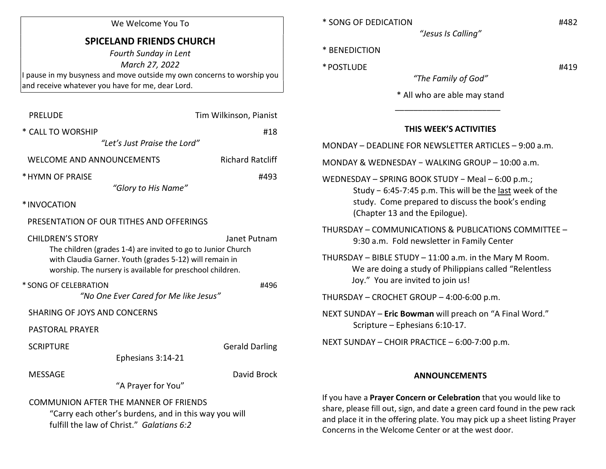#### We Welcome You To

# SPICELAND FRIENDS CHURCH

Fourth Sunday in Lent March 27, 2022 I pause in my busyness and move outside my own concerns to worship you and receive whatever you have for me, dear Lord.

| <b>PRELUDE</b>                                                                                                                                                                                                  | Tim Wilkinson, Pianist  |  |  |  |
|-----------------------------------------------------------------------------------------------------------------------------------------------------------------------------------------------------------------|-------------------------|--|--|--|
| * CALL TO WORSHIP                                                                                                                                                                                               | #18                     |  |  |  |
| "Let's Just Praise the Lord"                                                                                                                                                                                    |                         |  |  |  |
| <b>WELCOME AND ANNOUNCEMENTS</b>                                                                                                                                                                                | <b>Richard Ratcliff</b> |  |  |  |
| * HYMN OF PRAISE                                                                                                                                                                                                | #493                    |  |  |  |
| "Glory to His Name"                                                                                                                                                                                             |                         |  |  |  |
| *INVOCATION                                                                                                                                                                                                     |                         |  |  |  |
| PRESENTATION OF OUR TITHES AND OFFERINGS                                                                                                                                                                        |                         |  |  |  |
| <b>CHILDREN'S STORY</b><br>The children (grades 1-4) are invited to go to Junior Church<br>with Claudia Garner. Youth (grades 5-12) will remain in<br>worship. The nursery is available for preschool children. | Janet Putnam            |  |  |  |
| * SONG OF CELEBRATION<br>"No One Ever Cared for Me like Jesus"                                                                                                                                                  | #496                    |  |  |  |
| <b>SHARING OF JOYS AND CONCERNS</b>                                                                                                                                                                             |                         |  |  |  |
| <b>PASTORAL PRAYER</b>                                                                                                                                                                                          |                         |  |  |  |
| <b>SCRIPTURE</b><br>Ephesians 3:14-21                                                                                                                                                                           | <b>Gerald Darling</b>   |  |  |  |
| <b>MESSAGE</b><br>"A Prayer for You"                                                                                                                                                                            | David Brock             |  |  |  |
| <b>COMMUNION AFTER THE MANNER OF FRIENDS</b><br>"Carry each other's burdens, and in this way you will<br>fulfill the law of Christ." Galatians 6:2                                                              |                         |  |  |  |

\* SONG OF DEDICATION #482

"Jesus Is Calling"

- \* BENEDICTION
- \* POSTLUDE #419

"The Family of God"

\* All who are able may stand

## THIS WEEK'S ACTIVITIES

|  | MONDAY - DEADLINE FOR NEWSLETTER ARTICLES - 9:00 a.m. |  |  |  |
|--|-------------------------------------------------------|--|--|--|
|--|-------------------------------------------------------|--|--|--|

MONDAY & WEDNESDAY − WALKING GROUP – 10:00 a.m.

 $\frac{1}{\sqrt{2}}$  ,  $\frac{1}{\sqrt{2}}$  ,  $\frac{1}{\sqrt{2}}$  ,  $\frac{1}{\sqrt{2}}$  ,  $\frac{1}{\sqrt{2}}$  ,  $\frac{1}{\sqrt{2}}$  ,  $\frac{1}{\sqrt{2}}$  ,  $\frac{1}{\sqrt{2}}$  ,  $\frac{1}{\sqrt{2}}$  ,  $\frac{1}{\sqrt{2}}$  ,  $\frac{1}{\sqrt{2}}$  ,  $\frac{1}{\sqrt{2}}$  ,  $\frac{1}{\sqrt{2}}$  ,  $\frac{1}{\sqrt{2}}$  ,  $\frac{1}{\sqrt{2}}$ 

- WEDNESDAY SPRING BOOK STUDY − Meal 6:00 p.m.; Study − 6:45-7:45 p.m. This will be the last week of the study. Come prepared to discuss the book's ending (Chapter 13 and the Epilogue).
- THURSDAY COMMUNICATIONS & PUBLICATIONS COMMITTEE 9:30 a.m. Fold newsletter in Family Center
- THURSDAY BIBLE STUDY 11:00 a.m. in the Mary M Room. We are doing a study of Philippians called "Relentless Joy." You are invited to join us!

THURSDAY – CROCHET GROUP – 4:00-6:00 p.m.

NEXT SUNDAY – Eric Bowman will preach on "A Final Word." Scripture – Ephesians 6:10-17.

NEXT SUNDAY – CHOIR PRACTICE – 6:00-7:00 p.m.

#### ANNOUNCEMENTS

If you have a Prayer Concern or Celebration that you would like to share, please fill out, sign, and date a green card found in the pew rack and place it in the offering plate. You may pick up a sheet listing Prayer Concerns in the Welcome Center or at the west door.